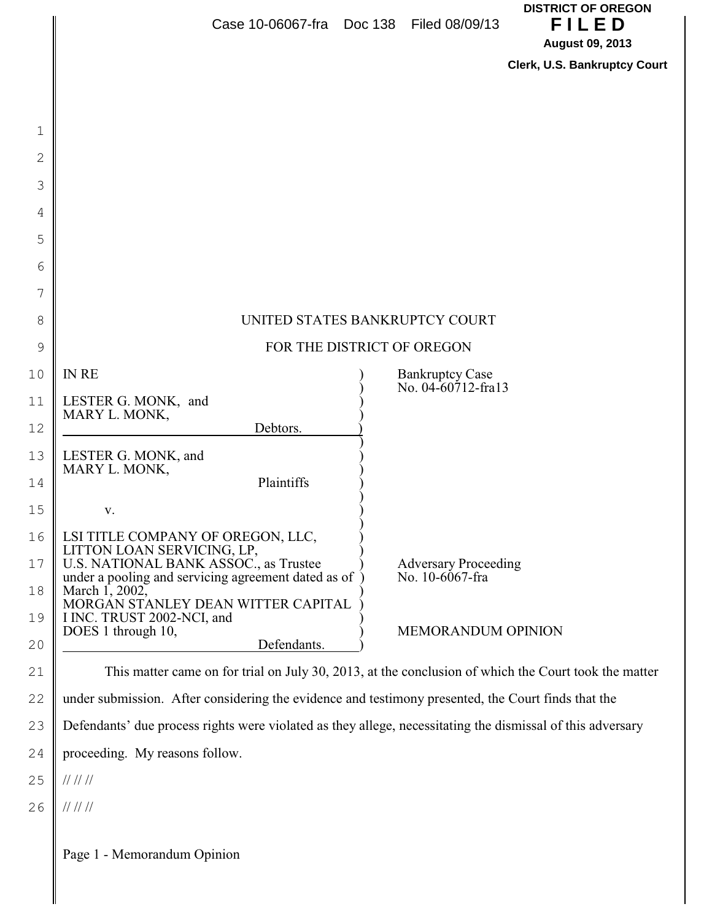|        | Case 10-06067-fra Doc 138 Filed 08/09/13                                                                   | <b>DISTRICT OF OREGON</b><br>FILED<br><b>August 09, 2013</b> |  |
|--------|------------------------------------------------------------------------------------------------------------|--------------------------------------------------------------|--|
|        |                                                                                                            | Clerk, U.S. Bankruptcy Court                                 |  |
|        |                                                                                                            |                                                              |  |
|        |                                                                                                            |                                                              |  |
| 1<br>2 |                                                                                                            |                                                              |  |
| 3      |                                                                                                            |                                                              |  |
| 4      |                                                                                                            |                                                              |  |
| 5      |                                                                                                            |                                                              |  |
| 6      |                                                                                                            |                                                              |  |
| 7      |                                                                                                            |                                                              |  |
| 8      | UNITED STATES BANKRUPTCY COURT                                                                             |                                                              |  |
| 9      | FOR THE DISTRICT OF OREGON                                                                                 |                                                              |  |
| 10     | <b>IN RE</b>                                                                                               | <b>Bankruptcy Case</b>                                       |  |
| 11     | LESTER G. MONK, and                                                                                        | No. 04-60712-fra13                                           |  |
| 12     | MARY L. MONK,<br>Debtors.                                                                                  |                                                              |  |
| 13     | LESTER G. MONK, and<br>MARY L. MONK,                                                                       |                                                              |  |
| 14     | Plaintiffs                                                                                                 |                                                              |  |
| 15     | V.                                                                                                         |                                                              |  |
| 16     | LSI TITLE COMPANY OF OREGON, LLC,<br>LITTON LOAN SERVICING, LP,                                            |                                                              |  |
| 17     | U.S. NATIONAL BANK ASSOC., as Trustee<br>under a pooling and servicing agreement dated as of               | <b>Adversary Proceeding</b><br>No. 10-6067-fra               |  |
| 18     | March 1, 2002,<br>MORGAN STANLEY DEAN WITTER CAPITAL                                                       |                                                              |  |
| 19     | I INC. TRUST 2002-NCI, and<br>DOES 1 through 10,                                                           | <b>MEMORANDUM OPINION</b>                                    |  |
| 20     | Defendants.                                                                                                |                                                              |  |
| 21     | This matter came on for trial on July 30, 2013, at the conclusion of which the Court took the matter       |                                                              |  |
| 22     | under submission. After considering the evidence and testimony presented, the Court finds that the         |                                                              |  |
| 23     | Defendants' due process rights were violated as they allege, necessitating the dismissal of this adversary |                                                              |  |
| 24     | proceeding. My reasons follow.                                                                             |                                                              |  |
| 25     | 11111                                                                                                      |                                                              |  |
| 26     | 11111                                                                                                      |                                                              |  |
|        | Page 1 - Memorandum Opinion                                                                                |                                                              |  |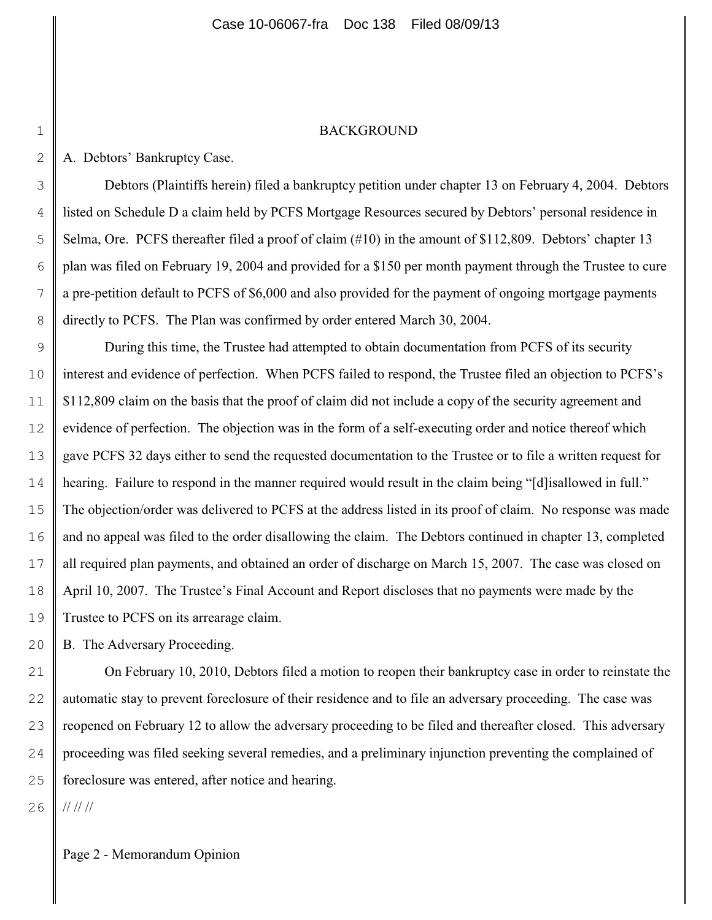#### BACKGROUND

A. Debtors' Bankruptcy Case.

1

2

3

4

5

6

7

8

Debtors (Plaintiffs herein) filed a bankruptcy petition under chapter 13 on February 4, 2004. Debtors listed on Schedule D a claim held by PCFS Mortgage Resources secured by Debtors' personal residence in Selma, Ore. PCFS thereafter filed a proof of claim (#10) in the amount of \$112,809. Debtors' chapter 13 plan was filed on February 19, 2004 and provided for a \$150 per month payment through the Trustee to cure a pre-petition default to PCFS of \$6,000 and also provided for the payment of ongoing mortgage payments directly to PCFS. The Plan was confirmed by order entered March 30, 2004.

9 10 11 12 13 14 15 16 17 18 19 During this time, the Trustee had attempted to obtain documentation from PCFS of its security interest and evidence of perfection. When PCFS failed to respond, the Trustee filed an objection to PCFS's \$112,809 claim on the basis that the proof of claim did not include a copy of the security agreement and evidence of perfection. The objection was in the form of a self-executing order and notice thereof which gave PCFS 32 days either to send the requested documentation to the Trustee or to file a written request for hearing. Failure to respond in the manner required would result in the claim being "[d]isallowed in full." The objection/order was delivered to PCFS at the address listed in its proof of claim. No response was made and no appeal was filed to the order disallowing the claim. The Debtors continued in chapter 13, completed all required plan payments, and obtained an order of discharge on March 15, 2007. The case was closed on April 10, 2007. The Trustee's Final Account and Report discloses that no payments were made by the Trustee to PCFS on its arrearage claim.

20 B. The Adversary Proceeding.

21 22 23 24 25 On February 10, 2010, Debtors filed a motion to reopen their bankruptcy case in order to reinstate the automatic stay to prevent foreclosure of their residence and to file an adversary proceeding. The case was reopened on February 12 to allow the adversary proceeding to be filed and thereafter closed. This adversary proceeding was filed seeking several remedies, and a preliminary injunction preventing the complained of foreclosure was entered, after notice and hearing.

26 // // //

Page 2 - Memorandum Opinion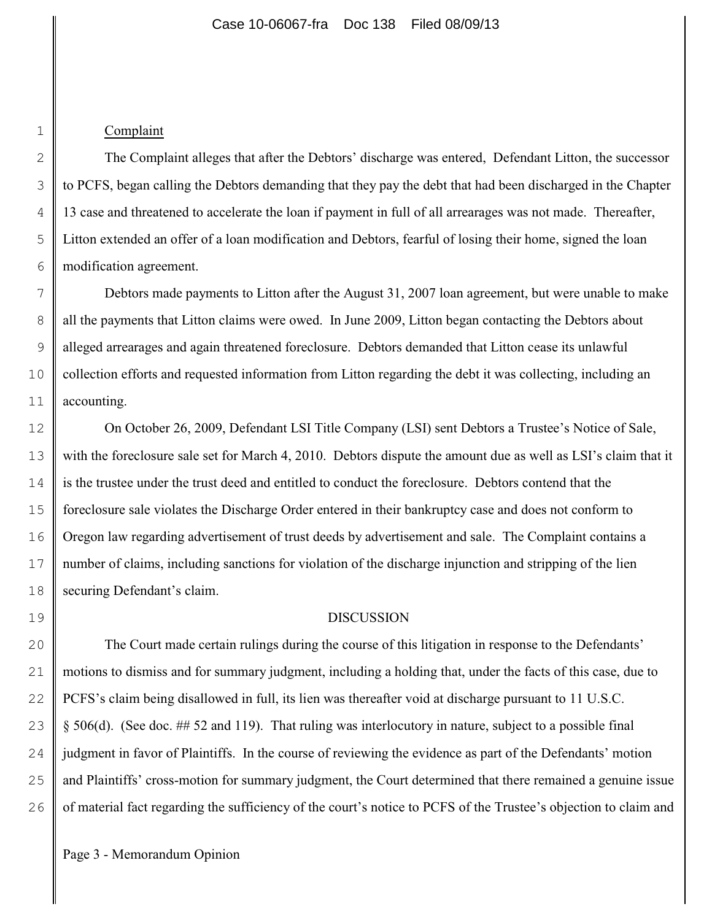## Complaint

1

2

3

4

5

6

7

8

9

10

11

19

The Complaint alleges that after the Debtors' discharge was entered, Defendant Litton, the successor to PCFS, began calling the Debtors demanding that they pay the debt that had been discharged in the Chapter 13 case and threatened to accelerate the loan if payment in full of all arrearages was not made. Thereafter, Litton extended an offer of a loan modification and Debtors, fearful of losing their home, signed the loan modification agreement.

Debtors made payments to Litton after the August 31, 2007 loan agreement, but were unable to make all the payments that Litton claims were owed. In June 2009, Litton began contacting the Debtors about alleged arrearages and again threatened foreclosure. Debtors demanded that Litton cease its unlawful collection efforts and requested information from Litton regarding the debt it was collecting, including an accounting.

12 13 14 15 16 17 18 On October 26, 2009, Defendant LSI Title Company (LSI) sent Debtors a Trustee's Notice of Sale, with the foreclosure sale set for March 4, 2010. Debtors dispute the amount due as well as LSI's claim that it is the trustee under the trust deed and entitled to conduct the foreclosure. Debtors contend that the foreclosure sale violates the Discharge Order entered in their bankruptcy case and does not conform to Oregon law regarding advertisement of trust deeds by advertisement and sale. The Complaint contains a number of claims, including sanctions for violation of the discharge injunction and stripping of the lien securing Defendant's claim.

### DISCUSSION

20 21 22 23 24 25 26 The Court made certain rulings during the course of this litigation in response to the Defendants' motions to dismiss and for summary judgment, including a holding that, under the facts of this case, due to PCFS's claim being disallowed in full, its lien was thereafter void at discharge pursuant to 11 U.S.C. § 506(d). (See doc. ## 52 and 119). That ruling was interlocutory in nature, subject to a possible final judgment in favor of Plaintiffs. In the course of reviewing the evidence as part of the Defendants' motion and Plaintiffs' cross-motion for summary judgment, the Court determined that there remained a genuine issue of material fact regarding the sufficiency of the court's notice to PCFS of the Trustee's objection to claim and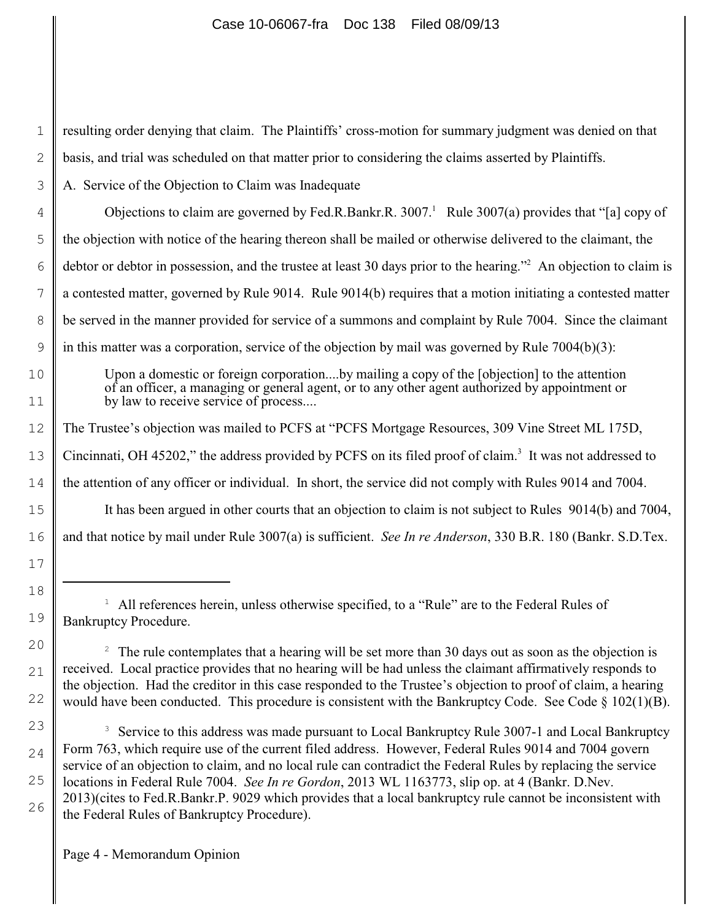resulting order denying that claim. The Plaintiffs' cross-motion for summary judgment was denied on that basis, and trial was scheduled on that matter prior to considering the claims asserted by Plaintiffs.

A. Service of the Objection to Claim was Inadequate

Objections to claim are governed by Fed.R.Bankr.R.  $3007<sup>1</sup>$  Rule  $3007(a)$  provides that "[a] copy of the objection with notice of the hearing thereon shall be mailed or otherwise delivered to the claimant, the debtor or debtor in possession, and the trustee at least 30 days prior to the hearing."<sup>2</sup> An objection to claim is a contested matter, governed by Rule 9014. Rule 9014(b) requires that a motion initiating a contested matter be served in the manner provided for service of a summons and complaint by Rule 7004. Since the claimant in this matter was a corporation, service of the objection by mail was governed by Rule 7004(b)(3):

Upon a domestic or foreign corporation....by mailing a copy of the [objection] to the attention of an officer, a managing or general agent, or to any other agent authorized by appointment or by law to receive service of process....

The Trustee's objection was mailed to PCFS at "PCFS Mortgage Resources, 309 Vine Street ML 175D,

Cincinnati, OH 45202," the address provided by PCFS on its filed proof of claim.<sup>3</sup> It was not addressed to

the attention of any officer or individual. In short, the service did not comply with Rules 9014 and 7004.

It has been argued in other courts that an objection to claim is not subject to Rules 9014(b) and 7004, and that notice by mail under Rule 3007(a) is sufficient.*See In re Anderson*, 330 B.R. 180 (Bankr. S.D.Tex.

 $^1$  All references herein, unless otherwise specified, to a "Rule" are to the Federal Rules of Bankruptcy Procedure.

 $2\degree$  The rule contemplates that a hearing will be set more than 30 days out as soon as the objection is received. Local practice provides that no hearing will be had unless the claimant affirmatively responds to the objection. Had the creditor in this case responded to the Trustee's objection to proof of claim, a hearing would have been conducted. This procedure is consistent with the Bankruptcy Code. See Code § 102(1)(B).

<sup>3</sup> Service to this address was made pursuant to Local Bankruptcy Rule 3007-1 and Local Bankruptcy Form 763, which require use of the current filed address. However, Federal Rules 9014 and 7004 govern service of an objection to claim, and no local rule can contradict the Federal Rules by replacing the service locations in Federal Rule 7004. *See In re Gordon*, 2013 WL 1163773, slip op. at 4 (Bankr. D.Nev. 2013)(cites to Fed.R.Bankr.P. 9029 which provides that a local bankruptcy rule cannot be inconsistent with the Federal Rules of Bankruptcy Procedure).

Page 4 - Memorandum Opinion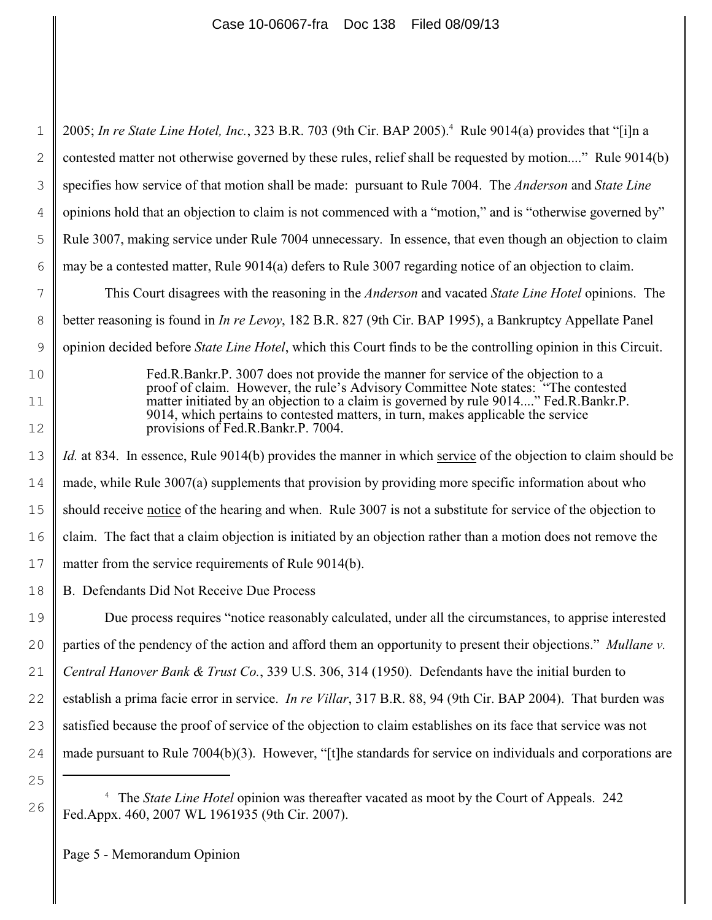1 2 3 4 5 6 7 8 9 10 11 12 13 14 15 16 17 18 19 20 21 22 23 24 2005; *In re State Line Hotel, Inc.*, 323 B.R. 703 (9th Cir. BAP 2005).<sup>4</sup> Rule 9014(a) provides that "[i]n a contested matter not otherwise governed by these rules, relief shall be requested by motion...." Rule 9014(b) specifies how service of that motion shall be made: pursuant to Rule 7004. The *Anderson* and *State Line* opinions hold that an objection to claim is not commenced with a "motion," and is "otherwise governed by" Rule 3007, making service under Rule 7004 unnecessary. In essence, that even though an objection to claim may be a contested matter, Rule 9014(a) defers to Rule 3007 regarding notice of an objection to claim. This Court disagrees with the reasoning in the *Anderson* and vacated *State Line Hotel* opinions. The better reasoning is found in *In re Levoy*, 182 B.R. 827 (9th Cir. BAP 1995), a Bankruptcy Appellate Panel opinion decided before *State Line Hotel*, which this Court finds to be the controlling opinion in this Circuit. Fed.R.Bankr.P. 3007 does not provide the manner for service of the objection to a proof of claim. However, the rule's Advisory Committee Note states: "The contested matter initiated by an objection to a claim is governed by rule 9014...." Fed.R.Bankr.P. 9014, which pertains to contested matters, in turn, makes applicable the service provisions of Fed.R.Bankr.P. 7004. *Id.* at 834. In essence, Rule 9014(b) provides the manner in which service of the objection to claim should be made, while Rule 3007(a) supplements that provision by providing more specific information about who should receive notice of the hearing and when. Rule 3007 is not a substitute for service of the objection to claim. The fact that a claim objection is initiated by an objection rather than a motion does not remove the matter from the service requirements of Rule 9014(b). B. Defendants Did Not Receive Due Process Due process requires "notice reasonably calculated, under all the circumstances, to apprise interested parties of the pendency of the action and afford them an opportunity to present their objections." *Mullane v. Central Hanover Bank & Trust Co.*, 339 U.S. 306, 314 (1950). Defendants have the initial burden to establish a prima facie error in service. *In re Villar*, 317 B.R. 88, 94 (9th Cir. BAP 2004). That burden was satisfied because the proof of service of the objection to claim establishes on its face that service was not made pursuant to Rule 7004(b)(3). However, "[t]he standards for service on individuals and corporations are

25

26

<sup>&</sup>lt;sup>4</sup> The *State Line Hotel* opinion was thereafter vacated as moot by the Court of Appeals. 242 Fed.Appx. 460, 2007 WL 1961935 (9th Cir. 2007).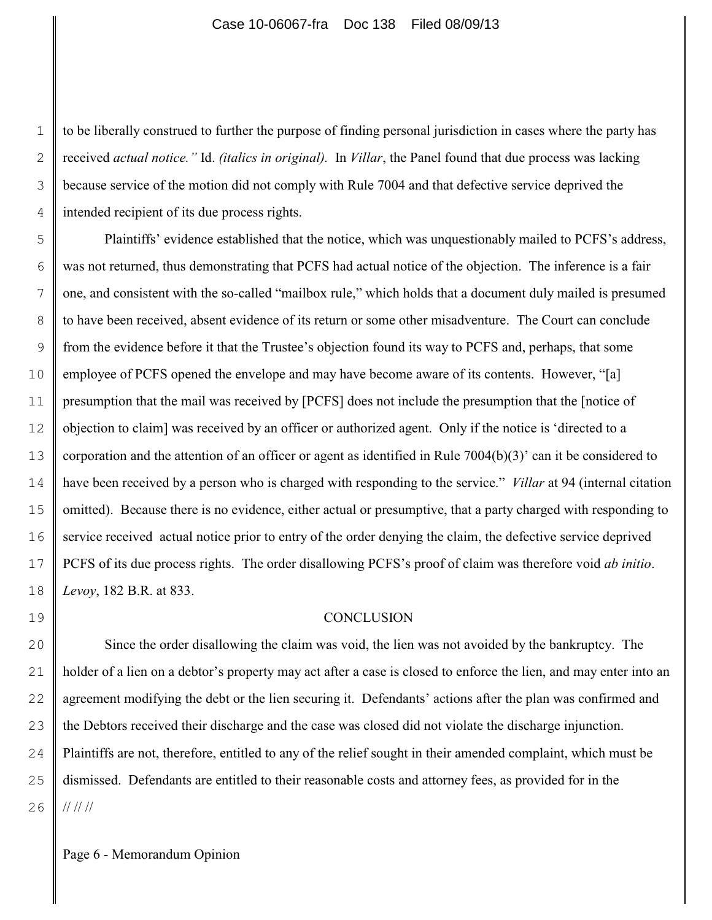to be liberally construed to further the purpose of finding personal jurisdiction in cases where the party has received *actual notice."* Id. *(italics in original).* In *Villar*, the Panel found that due process was lacking because service of the motion did not comply with Rule 7004 and that defective service deprived the intended recipient of its due process rights.

5 6 7 8 9 10 11 12 13 14 15 16 17 18 Plaintiffs' evidence established that the notice, which was unquestionably mailed to PCFS's address, was not returned, thus demonstrating that PCFS had actual notice of the objection. The inference is a fair one, and consistent with the so-called "mailbox rule," which holds that a document duly mailed is presumed to have been received, absent evidence of its return or some other misadventure. The Court can conclude from the evidence before it that the Trustee's objection found its way to PCFS and, perhaps, that some employee of PCFS opened the envelope and may have become aware of its contents. However, "[a] presumption that the mail was received by [PCFS] does not include the presumption that the [notice of objection to claim] was received by an officer or authorized agent. Only if the notice is 'directed to a corporation and the attention of an officer or agent as identified in Rule 7004(b)(3)' can it be considered to have been received by a person who is charged with responding to the service." *Villar* at 94 (internal citation omitted). Because there is no evidence, either actual or presumptive, that a party charged with responding to service received actual notice prior to entry of the order denying the claim, the defective service deprived PCFS of its due process rights. The order disallowing PCFS's proof of claim was therefore void *ab initio*. *Levoy*, 182 B.R. at 833.

### **CONCLUSION**

20 21 22 23 24 25 26 Since the order disallowing the claim was void, the lien was not avoided by the bankruptcy. The holder of a lien on a debtor's property may act after a case is closed to enforce the lien, and may enter into an agreement modifying the debt or the lien securing it. Defendants' actions after the plan was confirmed and the Debtors received their discharge and the case was closed did not violate the discharge injunction. Plaintiffs are not, therefore, entitled to any of the relief sought in their amended complaint, which must be dismissed. Defendants are entitled to their reasonable costs and attorney fees, as provided for in the // // //

1

2

3

4

19